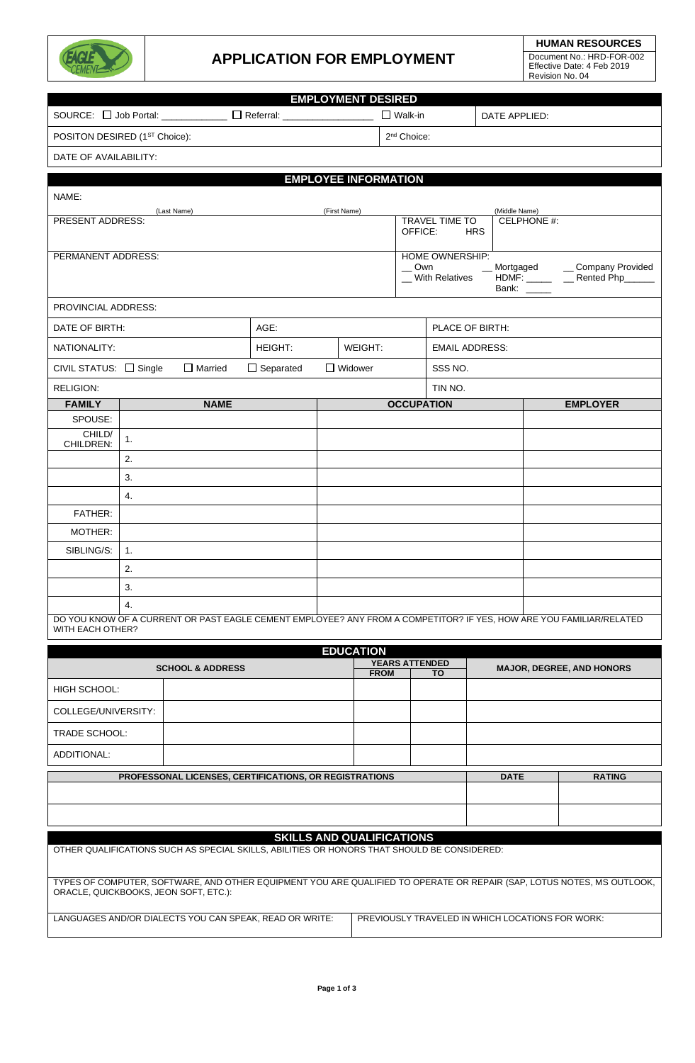

### **APPLICATION FOR EMPLOYMENT**

**HUMAN RESOURCES** Document No.: HRD-FOR-002 Effective Date: 4 Feb 2019 Revision No. 04

| <b>EMPLOYMENT DESIRED</b>                                                                                                               |                                                                         |                             |                                                               |                                                                              |  |  |
|-----------------------------------------------------------------------------------------------------------------------------------------|-------------------------------------------------------------------------|-----------------------------|---------------------------------------------------------------|------------------------------------------------------------------------------|--|--|
|                                                                                                                                         | SOURCE: $\Box$ Job Portal: _____________ $\Box$ Referral: _____________ |                             |                                                               | $\square$ Walk-in<br>DATE APPLIED:                                           |  |  |
| POSITON DESIRED (1 <sup>ST</sup> Choice):                                                                                               |                                                                         |                             | 2 <sup>nd</sup> Choice:                                       |                                                                              |  |  |
| DATE OF AVAILABILITY:                                                                                                                   |                                                                         |                             |                                                               |                                                                              |  |  |
|                                                                                                                                         |                                                                         | <b>EMPLOYEE INFORMATION</b> |                                                               |                                                                              |  |  |
| NAME:                                                                                                                                   |                                                                         |                             |                                                               |                                                                              |  |  |
| (Last Name)                                                                                                                             |                                                                         | (First Name)                |                                                               | (Middle Name)                                                                |  |  |
| PRESENT ADDRESS:                                                                                                                        |                                                                         |                             | <b>TRAVEL TIME TO</b><br>CELPHONE #:<br>OFFICE:<br><b>HRS</b> |                                                                              |  |  |
| PERMANENT ADDRESS:                                                                                                                      |                                                                         |                             | HOME OWNERSHIP:                                               |                                                                              |  |  |
|                                                                                                                                         |                                                                         |                             | $\sim$ Own<br>_ With Relatives                                | _Mortgaged ____ Company Provided<br>HDMF: ______ ___ Rented Php_<br>Bank: __ |  |  |
| PROVINCIAL ADDRESS:                                                                                                                     |                                                                         |                             |                                                               |                                                                              |  |  |
| DATE OF BIRTH:                                                                                                                          | AGE:                                                                    |                             | PLACE OF BIRTH:                                               |                                                                              |  |  |
| NATIONALITY:                                                                                                                            | HEIGHT:                                                                 | WEIGHT:                     | <b>EMAIL ADDRESS:</b>                                         |                                                                              |  |  |
| CIVIL STATUS: $\Box$ Single                                                                                                             | $\Box$ Married<br>$\Box$ Separated                                      | $\Box$ Widower              | SSS NO.                                                       |                                                                              |  |  |
| <b>RELIGION:</b>                                                                                                                        |                                                                         |                             | TIN NO.                                                       |                                                                              |  |  |
| <b>FAMILY</b>                                                                                                                           | <b>NAME</b>                                                             |                             | <b>OCCUPATION</b>                                             | <b>EMPLOYER</b>                                                              |  |  |
| SPOUSE:                                                                                                                                 |                                                                         |                             |                                                               |                                                                              |  |  |
| CHILD/<br>1.<br>CHILDREN:                                                                                                               |                                                                         |                             |                                                               |                                                                              |  |  |
| 2.                                                                                                                                      |                                                                         |                             |                                                               |                                                                              |  |  |
| 3.                                                                                                                                      |                                                                         |                             |                                                               |                                                                              |  |  |
| 4.                                                                                                                                      |                                                                         |                             |                                                               |                                                                              |  |  |
| FATHER:                                                                                                                                 |                                                                         |                             |                                                               |                                                                              |  |  |
| MOTHER:                                                                                                                                 |                                                                         |                             |                                                               |                                                                              |  |  |
| SIBLING/S:<br>1.                                                                                                                        |                                                                         |                             |                                                               |                                                                              |  |  |
| 2.                                                                                                                                      |                                                                         |                             |                                                               |                                                                              |  |  |
| 3.                                                                                                                                      |                                                                         |                             |                                                               |                                                                              |  |  |
| 4.                                                                                                                                      |                                                                         |                             |                                                               |                                                                              |  |  |
| DO YOU KNOW OF A CURRENT OR PAST EAGLE CEMENT EMPLOYEE? ANY FROM A COMPETITOR? IF YES, HOW ARE YOU FAMILIAR/RELATED<br>WITH EACH OTHER? |                                                                         |                             |                                                               |                                                                              |  |  |
|                                                                                                                                         |                                                                         | <b>EDUCATION</b>            |                                                               |                                                                              |  |  |
|                                                                                                                                         | <b>SCHOOL &amp; ADDRESS</b>                                             |                             | <b>YEARS ATTENDED</b>                                         | <b>MAJOR. DEGREE. AND HONORS</b>                                             |  |  |

| EDUCATION                   |                                                               |                       |               |                                  |  |
|-----------------------------|---------------------------------------------------------------|-----------------------|---------------|----------------------------------|--|
| <b>SCHOOL &amp; ADDRESS</b> |                                                               | <b>YEARS ATTENDED</b> |               | <b>MAJOR, DEGREE, AND HONORS</b> |  |
|                             |                                                               | <b>FROM</b>           | TO.           |                                  |  |
| HIGH SCHOOL:                |                                                               |                       |               |                                  |  |
| COLLEGE/UNIVERSITY:         |                                                               |                       |               |                                  |  |
| <b>TRADE SCHOOL:</b>        |                                                               |                       |               |                                  |  |
| ADDITIONAL:                 |                                                               |                       |               |                                  |  |
|                             | <b>PROFESSONAL LICENSES, CERTIFICATIONS, OR REGISTRATIONS</b> | <b>DATE</b>           | <b>RATING</b> |                                  |  |
|                             |                                                               |                       |               |                                  |  |
|                             |                                                               |                       |               |                                  |  |

### **SKILLS AND QUALIFICATIONS**

| OTHER QUALIFICATIONS SUCH AS SPECIAL SKILLS, ABILITIES OR HONORS THAT SHOULD BE CONSIDERED: |                                                                                                                        |
|---------------------------------------------------------------------------------------------|------------------------------------------------------------------------------------------------------------------------|
| ORACLE, QUICKBOOKS, JEON SOFT, ETC.):                                                       | TYPES OF COMPUTER, SOFTWARE, AND OTHER EQUIPMENT YOU ARE QUALIFIED TO OPERATE OR REPAIR (SAP, LOTUS NOTES, MS OUTLOOK, |
| LANGUAGES AND/OR DIALECTS YOU CAN SPEAK. READ OR WRITE:                                     | PREVIOUSLY TRAVELED IN WHICH LOCATIONS FOR WORK:                                                                       |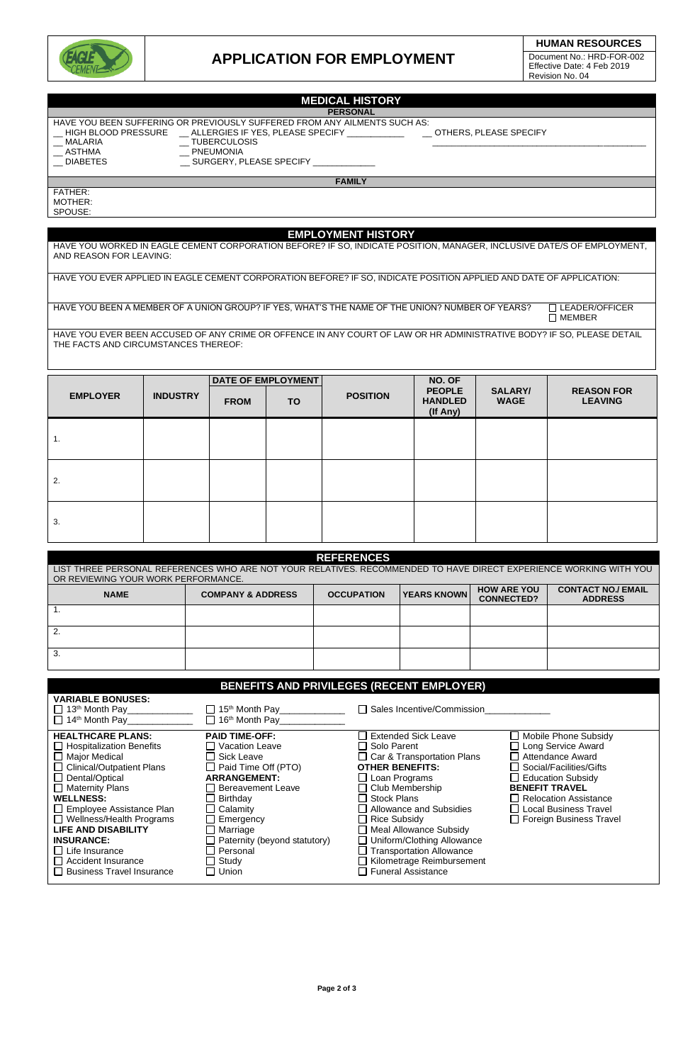

## **APPLICATION FOR EMPLOYMENT**

#### **MEDICAL HISTORY PERSONAL**

| HAVE YOU BEEN SUFFERING OR PREVIOUSLY SL |                     |
|------------------------------------------|---------------------|
| <b>HIGH BLOOD PRESSURE</b>               | ALLERGIES IF YE     |
| MALARIA                                  | <b>TUBERCULOSIS</b> |
| ASTHMA                                   | <b>PNEUMONIA</b>    |

NG OR PREVIOUSLY SUFFERED FROM ANY AILMENTS SUCH AS:<br>E \_\_ ALLERGIES IF YES, PLEASE SPECIFY \_\_\_\_\_\_\_\_\_\_\_\_\_\_ \_\_\_ OTHERS, PLEASE SPECIFY \_\_ HIGH BLOOD PRESSURE \_\_ ALLERGIES IF YES, PLEASE SPECIFY \_\_\_\_\_\_\_\_\_\_\_\_ \_\_ OTHERS, PLEASE SPECIFY

\_\_ ASTHMA \_\_ PNEUMONIA

 $\equiv$  SURGERY, PLEASE SPECIFY  $\equiv$ 

**FAMILY**

FATHER: MOTHER: **SPOUSE** 

# **EMPLOYMENT HISTORY**

HAVE YOU WORKED IN EAGLE CEMENT CORPORATION BEFORE? IF SO, INDICATE POSITION, MANAGER, INCLUSIVE DATE/S OF EMPLOYMENT, AND REASON FOR LEAVING:

HAVE YOU EVER APPLIED IN EAGLE CEMENT CORPORATION BEFORE? IF SO, INDICATE POSITION APPLIED AND DATE OF APPLICATION:

HAVE YOU BEEN A MEMBER OF A UNION GROUP? IF YES, WHAT'S THE NAME OF THE UNION? NUMBER OF YEARS?  $\square$  LEADER/OFFICER  $\square$  MEMBER

HAVE YOU EVER BEEN ACCUSED OF ANY CRIME OR OFFENCE IN ANY COURT OF LAW OR HR ADMINISTRATIVE BODY? IF SO, PLEASE DETAIL THE FACTS AND CIRCUMSTANCES THEREOF:

|                 |                 |             | <b>DATE OF EMPLOYMENT</b> |                 | NO. OF                                      |                               |                                     |
|-----------------|-----------------|-------------|---------------------------|-----------------|---------------------------------------------|-------------------------------|-------------------------------------|
| <b>EMPLOYER</b> | <b>INDUSTRY</b> | <b>FROM</b> | TO.                       | <b>POSITION</b> | <b>PEOPLE</b><br><b>HANDLED</b><br>(If Any) | <b>SALARY/</b><br><b>WAGE</b> | <b>REASON FOR</b><br><b>LEAVING</b> |
| 1.              |                 |             |                           |                 |                                             |                               |                                     |
| 2.              |                 |             |                           |                 |                                             |                               |                                     |
| 3.              |                 |             |                           |                 |                                             |                               |                                     |

| <b>REFERENCES</b>                                                                                                 |                              |                   |                    |                                         |                                             |
|-------------------------------------------------------------------------------------------------------------------|------------------------------|-------------------|--------------------|-----------------------------------------|---------------------------------------------|
| LIST THREE PERSONAL REFERENCES WHO ARE NOT YOUR RELATIVES. RECOMMENDED TO HAVE DIRECT EXPERIENCE WORKING WITH YOU |                              |                   |                    |                                         |                                             |
| OR REVIEWING YOUR WORK PERFORMANCE.                                                                               |                              |                   |                    |                                         |                                             |
| <b>NAME</b>                                                                                                       | <b>COMPANY &amp; ADDRESS</b> | <b>OCCUPATION</b> | <b>YEARS KNOWN</b> | <b>HOW ARE YOU</b><br><b>CONNECTED?</b> | <b>CONTACT NO./ EMAIL</b><br><b>ADDRESS</b> |
|                                                                                                                   |                              |                   |                    |                                         |                                             |
| 2.                                                                                                                |                              |                   |                    |                                         |                                             |
| 3.                                                                                                                |                              |                   |                    |                                         |                                             |

| BENEFITS AND PRIVILEGES (RECENT EMPLOYER)                                                                                                                                                                                                                                                                                                                                                      |                                                                                                                                                                                                                                                              |                                                                                                                                                                                                                                                                                                                                                                                                       |                                                                                                                                                                                                                                   |  |  |  |
|------------------------------------------------------------------------------------------------------------------------------------------------------------------------------------------------------------------------------------------------------------------------------------------------------------------------------------------------------------------------------------------------|--------------------------------------------------------------------------------------------------------------------------------------------------------------------------------------------------------------------------------------------------------------|-------------------------------------------------------------------------------------------------------------------------------------------------------------------------------------------------------------------------------------------------------------------------------------------------------------------------------------------------------------------------------------------------------|-----------------------------------------------------------------------------------------------------------------------------------------------------------------------------------------------------------------------------------|--|--|--|
| <b>VARIABLE BONUSES:</b><br>$\Box$ 13 <sup>th</sup> Month Pay<br>$\Box$ 14 <sup>th</sup> Month Pay                                                                                                                                                                                                                                                                                             | $\Box$ 15 <sup>th</sup> Month Pay<br>$\Box$ 16 <sup>th</sup> Month Pay                                                                                                                                                                                       | $\Box$ Sales Incentive/Commission                                                                                                                                                                                                                                                                                                                                                                     |                                                                                                                                                                                                                                   |  |  |  |
| <b>HEALTHCARE PLANS:</b><br>$\Box$ Hospitalization Benefits<br>$\Box$ Major Medical<br>□ Clinical/Outpatient Plans<br>$\Box$ Dental/Optical<br>$\Box$ Maternity Plans<br><b>WELLNESS:</b><br>Employee Assistance Plan<br>$\Box$ Wellness/Health Programs<br><b>LIFE AND DISABILITY</b><br><b>INSURANCE:</b><br>$\Box$ Life Insurance<br>Accident Insurance<br>$\Box$ Business Travel Insurance | <b>PAID TIME-OFF:</b><br><b>Vacation Leave</b><br>Sick Leave<br>$\Box$ Paid Time Off (PTO)<br><b>ARRANGEMENT:</b><br><b>Bereavement Leave</b><br>Birthday<br>Calamity<br>Emergency<br>Marriage<br>Paternity (beyond statutory)<br>Personal<br>Study<br>Union | <b>Extended Sick Leave</b><br>$\Box$ Solo Parent<br>$\Box$ Car & Transportation Plans<br><b>OTHER BENEFITS:</b><br>$\Box$ Loan Programs<br>$\Box$ Club Membership<br><b>Stock Plans</b><br>Allowance and Subsidies<br>$\Box$ Rice Subsidy<br>$\Box$ Meal Allowance Subsidy<br>Uniform/Clothing Allowance<br><b>Transportation Allowance</b><br>Kilometrage Reimbursement<br><b>Funeral Assistance</b> | Mobile Phone Subsidy<br>Long Service Award<br>□ Attendance Award<br>Social/Facilities/Gifts<br>□ Education Subsidy<br><b>BENEFIT TRAVEL</b><br>Relocation Assistance<br>□ Local Business Travel<br>$\Box$ Foreign Business Travel |  |  |  |